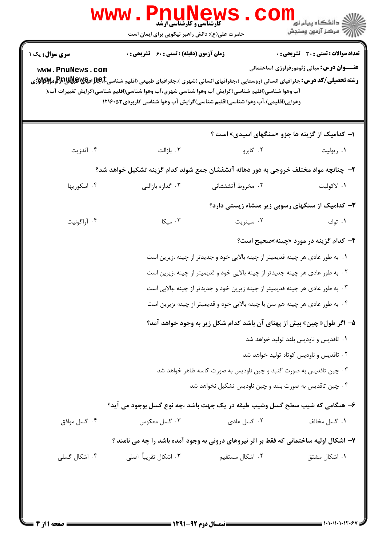| <b>زمان آزمون (دقیقه) : تستی : 60 ٪ تشریحی : 0</b><br><b>سری سوال :</b> یک ۱<br><b>عنـــوان درس:</b> مبانی ژئومورفولوژی ۱ساختمانی<br>www.PnuNews.com<br><b>رشته تحصیلی/کد درس:</b> جغرافیای انسانی (روستایی )،جغرافیای انسانی (شهری )،جغرافیای طبیعی (اقلیم شناسیCبهایاتیالاتیاللا<br>آب وهوا شناسی(اقلیم شناسی)گرایش آب وهوا شناسی شهری،آب وهوا شناسی(اقلیم شناسی)گرایش تغییرات آب،(<br>وهوایی(اقلیمی)،آب وهوا شناسی(اقلیم شناسی)گرایش آب وهوا شناسی کاربردی۵۳^۱۲۱۶<br><b>ا- کدامیک از گزینه ها جزو «سنگهای اسیدی» است</b> ؟<br>۰۴ آندزیت<br>۰۳ بازالت<br>۰۲ گابرو<br>۰۱ ریولیت<br>۲–  چنانچه مواد مختلف خروجی به دور دهانه آتشفشان جمع شوند کدام گزینه تشکیل خواهد شد؟<br>۰۱ لاکولیت<br>۰۳ گدازه بازالتی<br>۰۲ مخروط أتشفشاني<br>۰۴ اسکوریها<br>۳- کدامیک از سنگهای رسوبی زیر منشاء زیستی دارد؟<br>$\mathcal{F}$ میکا<br>۰۴ آراگونیت<br>۰۲ سینریت<br>۰۱ توف<br>۴- کدام گزینه در مورد «چینه»صحیح است؟<br>۰۱ به طور عادی هر چینه قدیمیتر از چینه بالایی خود و جدیدتر از چینه ،زیرین است<br>۰۲ به طور عادی هر چینه جدیدتر از چینه بالایی خود و قدیمیتر از چینه ،زیرین است<br>۰۳ به طور عادی هر چینه قدیمیتر از چینه زیرین خود و جدیدتر از چینه ،بالایی است<br>۰۴ به طور عادی هر چینه هم سن با چینه بالایی خود و قدیمیتر از چینه ،زیرین است<br>۵– اگر طول«چین» بیش از پهنای آن باشد کدام شکل زیر به وجود خواهد آمد؟<br>۰۱ تاقدیس و ناودیس بلند تولید خواهد شد<br>۰۲ تاقدیس و ناودیس کوتاه تولید خواهد شد<br>۰۳ چین تاقدیس به صورت گنبد و چین ناودیس به صورت کاسه ظاهر خواهد شد<br>۰۴ چین تاقدیس به صورت بلند و چین ناودیس تشکیل نخواهد شد<br>۶– هنگامی که شیب سطح گسل وشیب طبقه در یک جهت باشد ،چه نوع گسل بوجود می آید؟<br>۰۴ گسل موافق<br>۰۲ گسل عادی<br>۰۳ گسل معکوس<br>٠١. گسل مخالف<br>۷- اشکال اولیه ساختمانی که فقط بر اثر نیروهای درونی به وجود آمده باشد را چه می نامند ؟<br>۰۳ اشکال تقریباً اصلی<br>۰۴ اشکال گسلی<br>۰۲ اشکال مستقیم<br>۰۱ اشکال مشتق | <b>www.PnuNews</b><br><b>گارشناسی و کارشناسی ارشد</b><br>حضرت علی(ع): دانش راهبر نیکویی برای ایمان است | ڪ دانشڪاه پيام نور<br> 7<br> 7 مرڪز آزمون وسنڊش |
|----------------------------------------------------------------------------------------------------------------------------------------------------------------------------------------------------------------------------------------------------------------------------------------------------------------------------------------------------------------------------------------------------------------------------------------------------------------------------------------------------------------------------------------------------------------------------------------------------------------------------------------------------------------------------------------------------------------------------------------------------------------------------------------------------------------------------------------------------------------------------------------------------------------------------------------------------------------------------------------------------------------------------------------------------------------------------------------------------------------------------------------------------------------------------------------------------------------------------------------------------------------------------------------------------------------------------------------------------------------------------------------------------------------------------------------------------------------------------------------------------------------------------------------------------------------------------------------------------------------------------------------------------------------------------------------------------------------------------------------------------------------------------------------------------------------------------------------------------------------|--------------------------------------------------------------------------------------------------------|-------------------------------------------------|
|                                                                                                                                                                                                                                                                                                                                                                                                                                                                                                                                                                                                                                                                                                                                                                                                                                                                                                                                                                                                                                                                                                                                                                                                                                                                                                                                                                                                                                                                                                                                                                                                                                                                                                                                                                                                                                                                |                                                                                                        | <b>تعداد سوالات : تستي : 30 ٪ تشريحي : 0</b>    |
|                                                                                                                                                                                                                                                                                                                                                                                                                                                                                                                                                                                                                                                                                                                                                                                                                                                                                                                                                                                                                                                                                                                                                                                                                                                                                                                                                                                                                                                                                                                                                                                                                                                                                                                                                                                                                                                                |                                                                                                        |                                                 |
|                                                                                                                                                                                                                                                                                                                                                                                                                                                                                                                                                                                                                                                                                                                                                                                                                                                                                                                                                                                                                                                                                                                                                                                                                                                                                                                                                                                                                                                                                                                                                                                                                                                                                                                                                                                                                                                                |                                                                                                        |                                                 |
|                                                                                                                                                                                                                                                                                                                                                                                                                                                                                                                                                                                                                                                                                                                                                                                                                                                                                                                                                                                                                                                                                                                                                                                                                                                                                                                                                                                                                                                                                                                                                                                                                                                                                                                                                                                                                                                                |                                                                                                        |                                                 |
|                                                                                                                                                                                                                                                                                                                                                                                                                                                                                                                                                                                                                                                                                                                                                                                                                                                                                                                                                                                                                                                                                                                                                                                                                                                                                                                                                                                                                                                                                                                                                                                                                                                                                                                                                                                                                                                                |                                                                                                        |                                                 |
|                                                                                                                                                                                                                                                                                                                                                                                                                                                                                                                                                                                                                                                                                                                                                                                                                                                                                                                                                                                                                                                                                                                                                                                                                                                                                                                                                                                                                                                                                                                                                                                                                                                                                                                                                                                                                                                                |                                                                                                        |                                                 |
|                                                                                                                                                                                                                                                                                                                                                                                                                                                                                                                                                                                                                                                                                                                                                                                                                                                                                                                                                                                                                                                                                                                                                                                                                                                                                                                                                                                                                                                                                                                                                                                                                                                                                                                                                                                                                                                                |                                                                                                        |                                                 |
|                                                                                                                                                                                                                                                                                                                                                                                                                                                                                                                                                                                                                                                                                                                                                                                                                                                                                                                                                                                                                                                                                                                                                                                                                                                                                                                                                                                                                                                                                                                                                                                                                                                                                                                                                                                                                                                                |                                                                                                        |                                                 |
|                                                                                                                                                                                                                                                                                                                                                                                                                                                                                                                                                                                                                                                                                                                                                                                                                                                                                                                                                                                                                                                                                                                                                                                                                                                                                                                                                                                                                                                                                                                                                                                                                                                                                                                                                                                                                                                                |                                                                                                        |                                                 |
|                                                                                                                                                                                                                                                                                                                                                                                                                                                                                                                                                                                                                                                                                                                                                                                                                                                                                                                                                                                                                                                                                                                                                                                                                                                                                                                                                                                                                                                                                                                                                                                                                                                                                                                                                                                                                                                                |                                                                                                        |                                                 |
|                                                                                                                                                                                                                                                                                                                                                                                                                                                                                                                                                                                                                                                                                                                                                                                                                                                                                                                                                                                                                                                                                                                                                                                                                                                                                                                                                                                                                                                                                                                                                                                                                                                                                                                                                                                                                                                                |                                                                                                        |                                                 |
|                                                                                                                                                                                                                                                                                                                                                                                                                                                                                                                                                                                                                                                                                                                                                                                                                                                                                                                                                                                                                                                                                                                                                                                                                                                                                                                                                                                                                                                                                                                                                                                                                                                                                                                                                                                                                                                                |                                                                                                        |                                                 |
|                                                                                                                                                                                                                                                                                                                                                                                                                                                                                                                                                                                                                                                                                                                                                                                                                                                                                                                                                                                                                                                                                                                                                                                                                                                                                                                                                                                                                                                                                                                                                                                                                                                                                                                                                                                                                                                                |                                                                                                        |                                                 |
|                                                                                                                                                                                                                                                                                                                                                                                                                                                                                                                                                                                                                                                                                                                                                                                                                                                                                                                                                                                                                                                                                                                                                                                                                                                                                                                                                                                                                                                                                                                                                                                                                                                                                                                                                                                                                                                                |                                                                                                        |                                                 |
|                                                                                                                                                                                                                                                                                                                                                                                                                                                                                                                                                                                                                                                                                                                                                                                                                                                                                                                                                                                                                                                                                                                                                                                                                                                                                                                                                                                                                                                                                                                                                                                                                                                                                                                                                                                                                                                                |                                                                                                        |                                                 |
|                                                                                                                                                                                                                                                                                                                                                                                                                                                                                                                                                                                                                                                                                                                                                                                                                                                                                                                                                                                                                                                                                                                                                                                                                                                                                                                                                                                                                                                                                                                                                                                                                                                                                                                                                                                                                                                                |                                                                                                        |                                                 |
|                                                                                                                                                                                                                                                                                                                                                                                                                                                                                                                                                                                                                                                                                                                                                                                                                                                                                                                                                                                                                                                                                                                                                                                                                                                                                                                                                                                                                                                                                                                                                                                                                                                                                                                                                                                                                                                                |                                                                                                        |                                                 |
|                                                                                                                                                                                                                                                                                                                                                                                                                                                                                                                                                                                                                                                                                                                                                                                                                                                                                                                                                                                                                                                                                                                                                                                                                                                                                                                                                                                                                                                                                                                                                                                                                                                                                                                                                                                                                                                                |                                                                                                        |                                                 |
|                                                                                                                                                                                                                                                                                                                                                                                                                                                                                                                                                                                                                                                                                                                                                                                                                                                                                                                                                                                                                                                                                                                                                                                                                                                                                                                                                                                                                                                                                                                                                                                                                                                                                                                                                                                                                                                                |                                                                                                        |                                                 |
|                                                                                                                                                                                                                                                                                                                                                                                                                                                                                                                                                                                                                                                                                                                                                                                                                                                                                                                                                                                                                                                                                                                                                                                                                                                                                                                                                                                                                                                                                                                                                                                                                                                                                                                                                                                                                                                                |                                                                                                        |                                                 |
|                                                                                                                                                                                                                                                                                                                                                                                                                                                                                                                                                                                                                                                                                                                                                                                                                                                                                                                                                                                                                                                                                                                                                                                                                                                                                                                                                                                                                                                                                                                                                                                                                                                                                                                                                                                                                                                                |                                                                                                        |                                                 |
|                                                                                                                                                                                                                                                                                                                                                                                                                                                                                                                                                                                                                                                                                                                                                                                                                                                                                                                                                                                                                                                                                                                                                                                                                                                                                                                                                                                                                                                                                                                                                                                                                                                                                                                                                                                                                                                                |                                                                                                        |                                                 |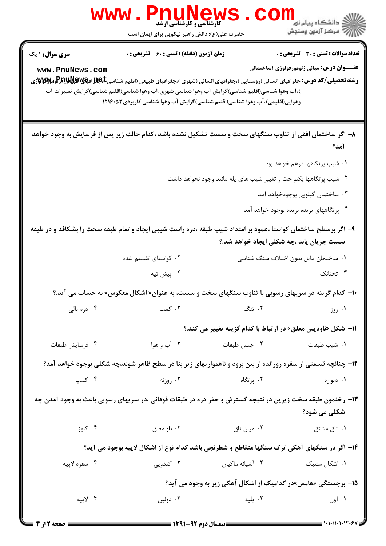| <b>WWW</b>             | PNUNEW<br><b>گارشناسی و کارشناسی ارشد</b><br>حضرت علی(ع): دانش راهبر نیکویی برای ایمان است                                                                                                                                                                                                                                                                                                                               |                                                                    | ڪ دانشڪاه پيام نور ■<br>//<br>// مرکز آزمون وسنجش             |
|------------------------|--------------------------------------------------------------------------------------------------------------------------------------------------------------------------------------------------------------------------------------------------------------------------------------------------------------------------------------------------------------------------------------------------------------------------|--------------------------------------------------------------------|---------------------------------------------------------------|
| <b>سری سوال : ۱ یک</b> | <b>زمان آزمون (دقیقه) : تستی : 60 ٪ تشریحی : 0</b>                                                                                                                                                                                                                                                                                                                                                                       |                                                                    | <b>تعداد سوالات : تستی : 30 ٪ تشریحی : 0</b>                  |
| www.PnuNews.com        | <b>رشته تحصیلی/کد درس:</b> جغرافیای انسانی (روستایی )،جغرافیای انسانی (شهری )،جغرافیای طبیعی (اقلیم شناسی#Bباقیاتی استان<br>میره این استان استان استانی از استانی (روستایی)،جغرافیای انسانی (شهری )،جغرافیای طبیعی (اقلیم شناسی#Bباقیا<br>)،آب وهوا شناسی(اقلیم شناسی)گرایش آب وهوا شناسی شهری،آب وهوا شناسی(اقلیم شناسی)گرایش تغییرات آب<br>وهوایی(اقلیمی)،آب وهوا شناسی(اقلیم شناسی)گرایش آب وهوا شناسی کاربردی۱۲۱۶۰۵۳ |                                                                    | <b>عنـــوان درس:</b> مبانی ژئومورفولوژی ۱ساختمانی             |
|                        | ۸– اگر ساختمان افقی از تناوب سنگهای سخت و سست تشکیل نشده باشد ،کدام حالت زیر پس از فرسایش به وجود خواهد                                                                                                                                                                                                                                                                                                                  |                                                                    | آمد؟                                                          |
|                        |                                                                                                                                                                                                                                                                                                                                                                                                                          |                                                                    | ۰۱ شیب پرتگاهها درهم خواهد بود                                |
|                        |                                                                                                                                                                                                                                                                                                                                                                                                                          | ۲. شیب پرتگاهها یکنواخت و تغییر شیب های پله مانند وجود نخواهد داشت |                                                               |
|                        |                                                                                                                                                                                                                                                                                                                                                                                                                          |                                                                    | ۰۳ ساختمان گیلویی بوجودخواهد آمد                              |
|                        |                                                                                                                                                                                                                                                                                                                                                                                                                          |                                                                    | ۰۴ پر تگاههای بریده بریده بوجود خواهد آمد                     |
|                        | ۹– اگر برسطح ساختمان کواستا ،عمود بر امتداد شیب طبقه ،دره راست شیبی ایجاد و تمام طبقه سخت را بشکافد و در طبقه                                                                                                                                                                                                                                                                                                            |                                                                    | سست جریان یابد ،چه شکلی ایجاد خواهد شد.؟                      |
|                        | ۰۲ کواستای تقسیم شده                                                                                                                                                                                                                                                                                                                                                                                                     |                                                                    | ٠١ ساختمان مايل بدون اختلاف سنگ شناسي                         |
|                        | ۴. پیش تپه                                                                                                                                                                                                                                                                                                                                                                                                               |                                                                    | ۰۳ تختانک                                                     |
|                        | +۱- کدام گزینه در سریهای رسوبی با تناوب سنگهای سخت و سست، به عنوان« اشکال معکوس» به حساب می آید.؟                                                                                                                                                                                                                                                                                                                        |                                                                    |                                                               |
| ۰۴ دره یالی            | $\sim$ کمب                                                                                                                                                                                                                                                                                                                                                                                                               | ۰۲ تنگ                                                             | ۰۱ روز                                                        |
|                        |                                                                                                                                                                                                                                                                                                                                                                                                                          |                                                                    | 11- شکل «ناودیس معلق» در ارتباط با کدام گزینه تغییر می کند.؟  |
| ۰۴ فرسايش طبقات        | ۰۳ آب و هوا                                                                                                                                                                                                                                                                                                                                                                                                              | ۰۲ جنس طبقات                                                       | ٠١. شيب طبقات                                                 |
|                        | ۱۲- چنانچه قسمتی از سفره رورانده از بین برود و ناهمواریهای زیر بنا در سطح ظاهر شوند،چه شکلی بوجود خواهد آمد؟                                                                                                                                                                                                                                                                                                             |                                                                    |                                                               |
| ۰۴ کلبپ                | ۰۳ روزنه                                                                                                                                                                                                                                                                                                                                                                                                                 | ۰۲ پرتگاه                                                          | ۰۱ دیواره                                                     |
|                        | ۱۳- رخنمون طبقه سخت زیرین در نتیجه گسترش و حفر دره در طبقات فوقانی ،در سریهای رسوبی باعث به وجود آمدن چه                                                                                                                                                                                                                                                                                                                 |                                                                    | شکلی می شود؟                                                  |
| ۰۴ کلوز                | ۰۳ ناو معلق                                                                                                                                                                                                                                                                                                                                                                                                              | ۰۲ میان تاق                                                        | ۰۱ تاق مشتق                                                   |
|                        | ۱۴– اگر در سنگهای آهکی ترک سنگها متقاطع و شطرنجی باشد کدام نوع از اشکال لاپیه بوجود می آید؟                                                                                                                                                                                                                                                                                                                              |                                                                    |                                                               |
| ۰۴ سفره لاپیه          | ۰۳ کندویی                                                                                                                                                                                                                                                                                                                                                                                                                | ۲. آشیانه ماکیان                                                   | ۰۱ اشکال مشبک                                                 |
|                        |                                                                                                                                                                                                                                                                                                                                                                                                                          |                                                                    | ۱۵– برجستگی «هامس»در کدامیک از اشکال آهکی زیر به وجود می آید؟ |
| ۰۴ لاپيه               | ۰۳ دولین                                                                                                                                                                                                                                                                                                                                                                                                                 | ۰۲ پلیه                                                            | ۱. آون                                                        |

 $= 1.11/(1.1117.5$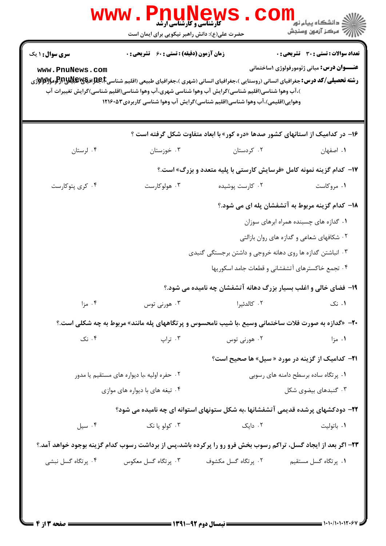| سری سوال : ۱ یک<br>www.PnuNews.com<br><b>رشته تحصیلی/کد درس:</b> جغرافیای انسانی (روستایی )،جغرافیای انسانی (شهری )،جغرافیای طبیعی (اقلیم شناسیCبهای افیاچای افیاچا | <b>زمان آزمون (دقیقه) : تستی : 60 ٪ تشریحی : 0</b> | )،آب وهوا شناسی(اقلیم شناسی)گرایش آب وهوا شناسی شهری،آب وهوا شناسی(اقلیم شناسی)گرایش تغییرات آب<br>وهوایی(اقلیمی)،آب وهوا شناسی(اقلیم شناسی)گرایش آب وهوا شناسی کاربردی۱۲۱۶۰۵۳ | تعداد سوالات : تستى : 30 قشريحى : 0<br><b>عنـــوان درس:</b> مبانی ژئومورفولوژی ۱ساختمانی |
|---------------------------------------------------------------------------------------------------------------------------------------------------------------------|----------------------------------------------------|--------------------------------------------------------------------------------------------------------------------------------------------------------------------------------|------------------------------------------------------------------------------------------|
|                                                                                                                                                                     |                                                    | ۱۶- در کدامیک از استانهای کشور صدها «دره کور» با ابعاد متفاوت شکل گرفته است ؟                                                                                                  |                                                                                          |
| ۰۴ لرستان                                                                                                                                                           | ۰۳ خوزستان                                         | ۰۲ کردستان                                                                                                                                                                     | ٠١. اصفهان                                                                               |
|                                                                                                                                                                     |                                                    | <b>۱۷</b> - کدام گزینه نمونه کامل «فرسایش کارستی با پلیه متعدد و بزرگ» است.؟                                                                                                   |                                                                                          |
| ۰۴ کری پتوکارست                                                                                                                                                     | ۰۳ هولوکارست                                       | ۰۲ کارست پوشیده                                                                                                                                                                | ۰۱ مروکاست                                                                               |
|                                                                                                                                                                     |                                                    |                                                                                                                                                                                | ۱۸– کدام گزینه مربوط به آتشفشان پله ای می شود.؟                                          |
|                                                                                                                                                                     |                                                    |                                                                                                                                                                                | ۰۱ گدازه های چسبنده همراه ابرهای سوزان                                                   |
|                                                                                                                                                                     |                                                    |                                                                                                                                                                                | ۰۲ شکافهای شعاعی و گدازه های روان بازالتی                                                |
|                                                                                                                                                                     |                                                    | ۰۳ انباشتن گدازه ها روی دهانه خروجی و داشتن برجستگی گنبدی                                                                                                                      |                                                                                          |
|                                                                                                                                                                     |                                                    |                                                                                                                                                                                | ۰۴ تجمع خاکسترهای آتشفشانی و قطعات جامد اسکوریها                                         |
|                                                                                                                                                                     |                                                    | ۱۹- فضای خالی و اغلب بسیار بزرگ دهانه آتشفشان چه نامیده می شود.؟                                                                                                               |                                                                                          |
| ۰۴ مزا                                                                                                                                                              | هورنی توس $\cdot$ ۳                                | ۰۲ كالدئيرا                                                                                                                                                                    | ۰۱ نک                                                                                    |
|                                                                                                                                                                     |                                                    | <b>۲۰</b> - «گدازه به صورت فلات ساختمانی وسیع ،با شیب نامحسوس و پرتگاههای پله مانند» مربوط به چه شکلی است.؟                                                                    |                                                                                          |
| ۰۴ نک                                                                                                                                                               | ۰۳ تراپ                                            | ۰۲ هورنی توس                                                                                                                                                                   | ۰۱ مزا                                                                                   |
|                                                                                                                                                                     |                                                    |                                                                                                                                                                                | <b>۲۱</b> - کدامیک از گزینه در مورد « سیل» ها صحیح است؟                                  |
|                                                                                                                                                                     | ۰۲ حفره اولیه ،با دیواره های مستقیم یا مدور        |                                                                                                                                                                                | ۰۱ پرتگاه ساده برسطح دامنه های رسوبی                                                     |
|                                                                                                                                                                     | ۰۴ تیغه های با دیواره های موازی                    |                                                                                                                                                                                | ۰۳ گنبدهای بیضوی شکل                                                                     |
|                                                                                                                                                                     |                                                    | ۲۲- دودکشهای پرشده قدیمی آتشفشانها ،به شکل ستونهای استوانه ای چه نامیده می شود؟                                                                                                |                                                                                          |
| ۰۴ سیل                                                                                                                                                              | ۰۳ کولو یا نک                                      | ۰۲ دایک                                                                                                                                                                        | ۰۱ باتولیت                                                                               |
|                                                                                                                                                                     |                                                    | ۲۳- اگر بعد از ایجاد گسل، تراکم رسوب بخش فرو رو را پرکرده باشد،پس از برداشت رسوب کدام گزینه بوجود خواهد آمد.؟                                                                  |                                                                                          |
| ۰۴ پرتگاه گسل نبشی                                                                                                                                                  | ۰۳ پرتگاه گسل معکوس                                | ۰۲ پرتگاه گسل مکشوف                                                                                                                                                            | ۰۱ پرتگاه گسل مستقیم                                                                     |